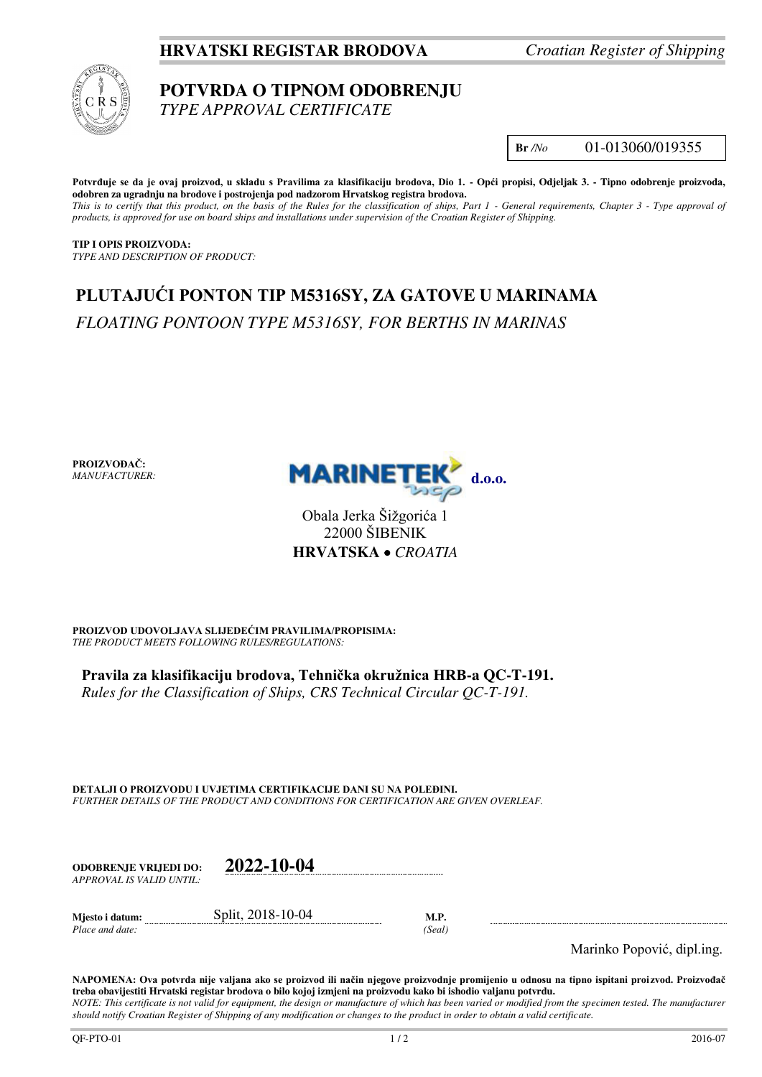## **HRVATSKI REGISTAR BRODOVA** *Croatian Register of Shipping*



## **POTVRDA O TIPNOM ODOBRENJU**  *TYPE APPROVAL CERTIFICATE*

**Br** */No* 01-013060/019355

**Potvrđuje se da je ovaj proizvod, u skladu s Pravilima za klasifikaciju brodova, Dio 1. - Opći propisi, Odjeljak 3. - Tipno odobrenje proizvoda, odobren za ugradnju na brodove i postrojenja pod nadzorom Hrvatskog registra brodova.**  This is to certify that this product, on the basis of the Rules for the classification of ships, Part 1 - General requirements, Chapter 3 - Type approval of *products, is approved for use on board ships and installations under supervision of the Croatian Register of Shipping.* 

**TIP I OPIS PROIZVODA:** *TYPE AND DESCRIPTION OF PRODUCT:* 

# **PLUTAJUĆI PONTON TIP M5316SY, ZA GATOVE U MARINAMA**  *FLOATING PONTOON TYPE M5316SY, FOR BERTHS IN MARINAS*

**PROIZVOĐAČ:** *MANUFACTURER:*



Obala Jerka Šižgorića 1 22000 ŠIBENIK **HRVATSKA**  *CROATIA*

**PROIZVOD UDOVOLJAVA SLIJEDEĆIM PRAVILIMA/PROPISIMA:** *THE PRODUCT MEETS FOLLOWING RULES/REGULATIONS:* 

**Pravila za klasifikaciju brodova, Tehnička okružnica HRB-a QC-T-191.** 

*Rules for the Classification of Ships, CRS Technical Circular QC-T-191.*

**DETALJI O PROIZVODU I UVJETIMA CERTIFIKACIJE DANI SU NA POLEĐINI.** *FURTHER DETAILS OF THE PRODUCT AND CONDITIONS FOR CERTIFICATION ARE GIVEN OVERLEAF.* 

**ODOBRENJE VRIJEDI DO: 2022-10-04** *APPROVAL IS VALID UNTIL:*

**Mjesto i datum:** Split, 2018-10-04 **M.P.** 

*Place and date: (Seal)* 

Marinko Popović, dipl.ing.

**NAPOMENA: Ova potvrda nije valjana ako se proizvod ili način njegove proizvodnje promijenio u odnosu na tipno ispitani proizvod. Proizvođač treba obavijestiti Hrvatski registar brodova o bilo kojoj izmjeni na proizvodu kako bi ishodio valjanu potvrdu.**  *NOTE: This certificate is not valid for equipment, the design or manufacture of which has been varied or modified from the specimen tested. The manufacturer should notify Croatian Register of Shipping of any modification or changes to the product in order to obtain a valid certificate.*